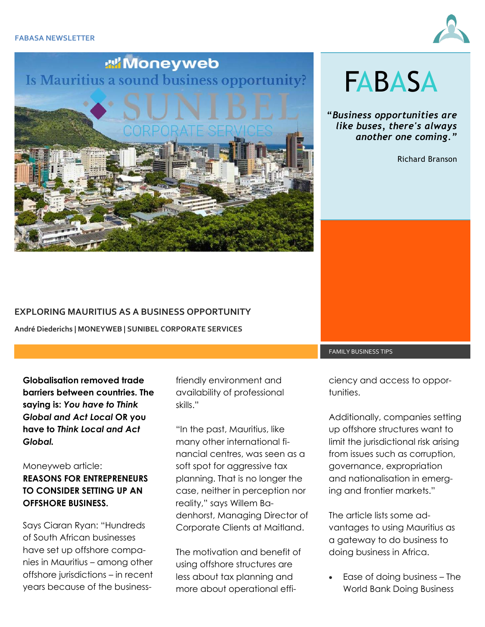



# **FABASA**

**"***Business opportunities are like buses, there's always another one coming."*

Richard Branson

#### **EXPLORING MAURITIUS AS A BUSINESS OPPORTUNITY**

**André Diederichs | MONEYWEB | SUNIBEL CORPORATE SERVICES** 

**Globalisation removed trade barriers between countries. The saying is:** *You have to Think Global and Act Local* **OR you have to** *Think Local and Act Global.* 

## Moneyweb article:

## **REASONS FOR ENTREPRENEURS TO CONSIDER SETTING UP AN OFFSHORE BUSINESS.**

Says Ciaran Ryan: "Hundreds of South African businesses have set up offshore companies in Mauritius – among other offshore jurisdictions – in recent years because of the business-

friendly environment and availability of professional skills."

"In the past, Mauritius, like many other international financial centres, was seen as a soft spot for aggressive tax planning. That is no longer the case, neither in perception nor reality," says Willem Badenhorst, Managing Director of Corporate Clients at Maitland.

The motivation and benefit of using offshore structures are less about tax planning and more about operational efficiency and access to opportunities.

FAMILY BUSINESS TIPS

Additionally, companies setting up offshore structures want to limit the jurisdictional risk arising from issues such as corruption, governance, expropriation and nationalisation in emerging and frontier markets."

The article lists some advantages to using Mauritius as a gateway to do business to doing business in Africa.

 Ease of doing business – The World Bank Doing Business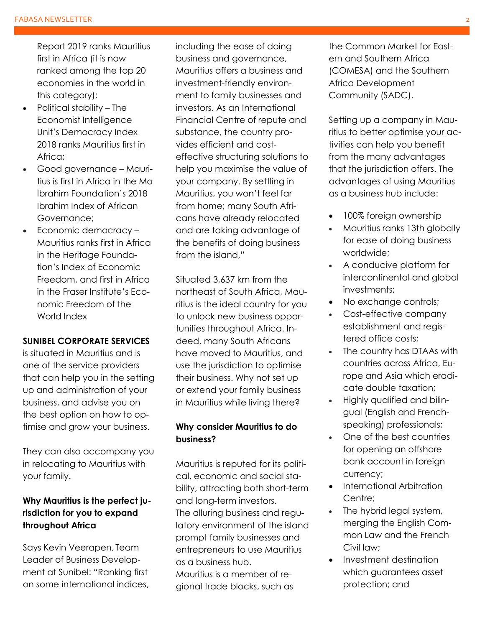Report 2019 ranks Mauritius first in Africa (it is now ranked among the top 20 economies in the world in this category);

- Political stability The Economist Intelligence Unit's Democracy Index 2018 ranks Mauritius first in Africa;
- Good governance Mauritius is first in Africa in the Mo Ibrahim Foundation's 2018 Ibrahim Index of African Governance;
- Economic democracy -Mauritius ranks first in Africa in the Heritage Foundation's Index of Economic Freedom, and first in Africa in the Fraser Institute's Economic Freedom of the World Index

#### **SUNIBEL CORPORATE SERVICES**

is situated in Mauritius and is one of the service providers that can help you in the setting up and administration of your business, and advise you on the best option on how to optimise and grow your business.

They can also accompany you in relocating to Mauritius with your family.

## **Why Mauritius is the perfect jurisdiction for you to expand throughout Africa**

Says Kevin Veerapen, Team Leader of Business Development at Sunibel: "Ranking first on some international indices,

including the ease of doing business and governance, Mauritius offers a business and investment-friendly environment to family businesses and investors. As an International Financial Centre of repute and substance, the country provides efficient and costeffective structuring solutions to help you maximise the value of your company. By settling in Mauritius, you won't feel far from home; many South Africans have already relocated and are taking advantage of the benefits of doing business from the island,"

Situated 3,637 km from the northeast of South Africa, Mauritius is the ideal country for you to unlock new business opportunities throughout Africa. Indeed, many South Africans have moved to Mauritius, and use the jurisdiction to optimise their business. Why not set up or extend your family business in Mauritius while living there?

### **Why consider Mauritius to do business?**

Mauritius is reputed for its political, economic and social stability, attracting both short-term and long-term investors. The alluring business and regulatory environment of the island prompt family businesses and entrepreneurs to use Mauritius as a business hub. Mauritius is a member of regional trade blocks, such as

the Common Market for Eastern and Southern Africa (COMESA) and the Southern Africa Development Community (SADC).

Setting up a company in Mauritius to better optimise your activities can help you benefit from the many advantages that the jurisdiction offers. The advantages of using Mauritius as a business hub include:

- 100% foreign ownership
- Mauritius ranks 13th globally for ease of doing business worldwide;
- A conducive platform for intercontinental and global investments;
- No exchange controls;
- Cost-effective company establishment and registered office costs;
- The country has DTAAs with countries across Africa, Europe and Asia which eradicate double taxation;
- Highly qualified and bilingual (English and Frenchspeaking) professionals;
- One of the best countries for opening an offshore bank account in foreign currency;
- International Arbitration Centre:
- The hybrid legal system, merging the English Common Law and the French Civil law;
- Investment destination which guarantees asset protection; and